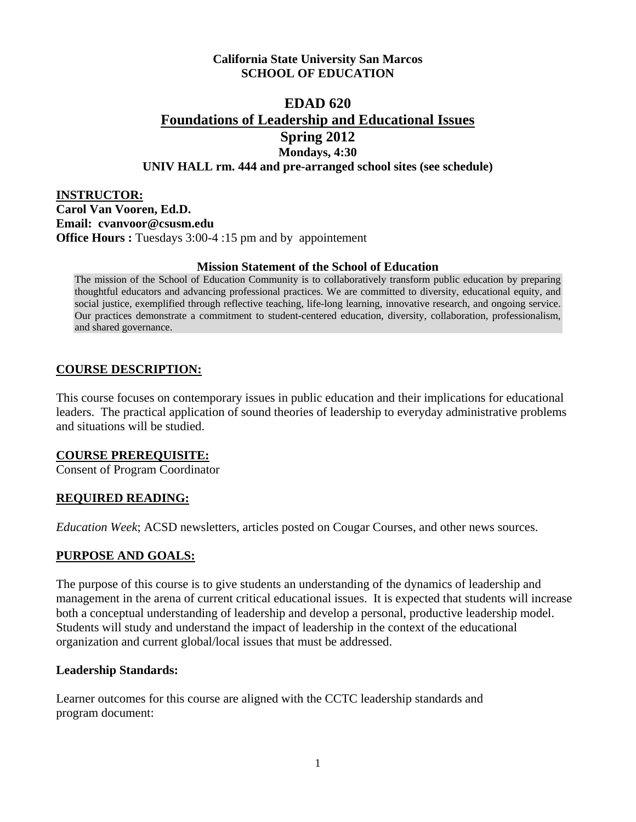### **California State University San Marcos SCHOOL OF EDUCATION**

# **EDAD 620 Foundations of Leadership and Educational Issues Spring 2012 Mondays, 4:30 UNIV HALL rm. 444 and pre-arranged school sites (see schedule)**

**INSTRUCTOR: Carol Van Vooren, Ed.D. Email: cvanvoor@csusm.edu Office Hours :** Tuesdays 3:00-4 :15 pm and by appointement

#### **Mission Statement of the School of Education**

The mission of the School of Education Community is to collaboratively transform public education by preparing thoughtful educators and advancing professional practices. We are committed to diversity, educational equity, and social justice, exemplified through reflective teaching, life-long learning, innovative research, and ongoing service. Our practices demonstrate a commitment to student-centered education, diversity, collaboration, professionalism, and shared governance.

## **COURSE DESCRIPTION:**

This course focuses on contemporary issues in public education and their implications for educational leaders. The practical application of sound theories of leadership to everyday administrative problems and situations will be studied.

#### **COURSE PREREQUISITE:**

Consent of Program Coordinator

## **REQUIRED READING:**

*Education Week*; ACSD newsletters, articles posted on Cougar Courses, and other news sources.

## **PURPOSE AND GOALS:**

The purpose of this course is to give students an understanding of the dynamics of leadership and management in the arena of current critical educational issues. It is expected that students will increase both a conceptual understanding of leadership and develop a personal, productive leadership model. Students will study and understand the impact of leadership in the context of the educational organization and current global/local issues that must be addressed.

#### **Leadership Standards:**

Learner outcomes for this course are aligned with the CCTC leadership standards and program document: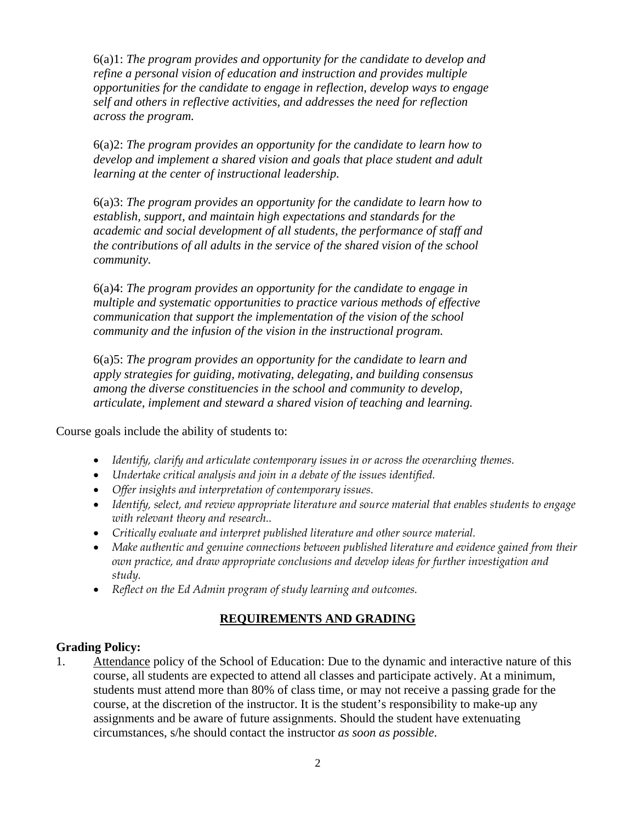6(a)1: *The program provides and opportunity for the candidate to develop and refine a personal vision of education and instruction and provides multiple opportunities for the candidate to engage in reflection, develop ways to engage self and others in reflective activities, and addresses the need for reflection across the program.* 

6(a)2: *The program provides an opportunity for the candidate to learn how to develop and implement a shared vision and goals that place student and adult learning at the center of instructional leadership.*

6(a)3: *The program provides an opportunity for the candidate to learn how to establish, support, and maintain high expectations and standards for the academic and social development of all students, the performance of staff and the contributions of all adults in the service of the shared vision of the school community.* 

6(a)4: *The program provides an opportunity for the candidate to engage in multiple and systematic opportunities to practice various methods of effective communication that support the implementation of the vision of the school community and the infusion of the vision in the instructional program.* 

6(a)5: *The program provides an opportunity for the candidate to learn and apply strategies for guiding, motivating, delegating, and building consensus among the diverse constituencies in the school and community to develop, articulate, implement and steward a shared vision of teaching and learning.* 

Course goals include the ability of students to:

- *Identify, clarify and articulate contemporary issues in or across the overarching themes.*
- *Undertake critical analysis and join in a debate of the issues identified.*
- *Offer insights and interpretation of contemporary issues.*
- *Identify, select, and review appropriate literature and source material that enables students to engage with relevant theory and research..*
- *Critically evaluate and interpret published literature and other source material.*
- *Make authentic and genuine connections between published literature and evidence gained from their own practice, and draw appropriate conclusions and develop ideas for further investigation and study.*
- *Reflect on the Ed Admin program of study learning and outcomes.*

## **REQUIREMENTS AND GRADING**

## **Grading Policy:**

1. Attendance policy of the School of Education: Due to the dynamic and interactive nature of this course, all students are expected to attend all classes and participate actively. At a minimum, students must attend more than 80% of class time, or may not receive a passing grade for the course, at the discretion of the instructor. It is the student's responsibility to make-up any assignments and be aware of future assignments. Should the student have extenuating circumstances, s/he should contact the instructor *as soon as possible*.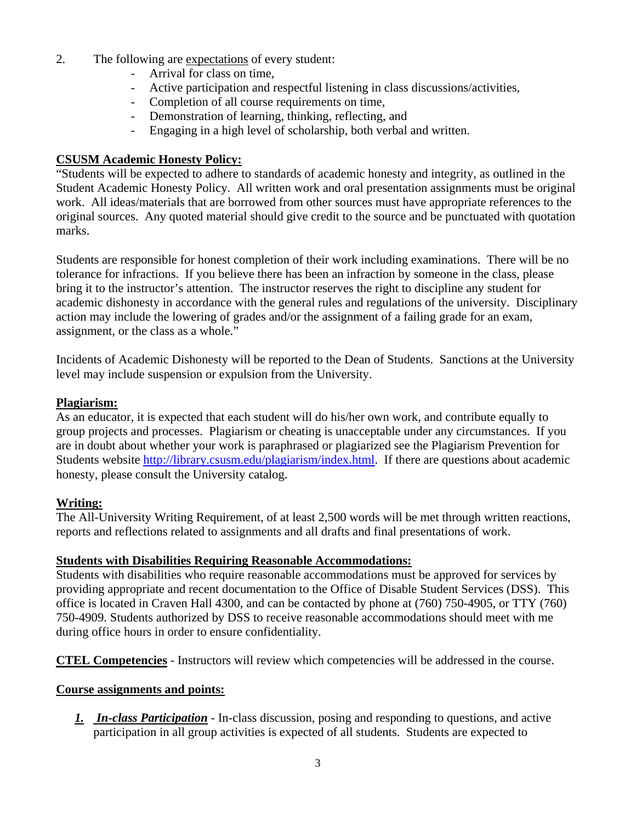- 2. The following are expectations of every student:
	- Arrival for class on time,
	- Active participation and respectful listening in class discussions/activities,
	- Completion of all course requirements on time,
	- Demonstration of learning, thinking, reflecting, and
	- Engaging in a high level of scholarship, both verbal and written.

### **CSUSM Academic Honesty Policy:**

"Students will be expected to adhere to standards of academic honesty and integrity, as outlined in the Student Academic Honesty Policy. All written work and oral presentation assignments must be original work. All ideas/materials that are borrowed from other sources must have appropriate references to the original sources. Any quoted material should give credit to the source and be punctuated with quotation marks.

Students are responsible for honest completion of their work including examinations. There will be no tolerance for infractions. If you believe there has been an infraction by someone in the class, please bring it to the instructor's attention. The instructor reserves the right to discipline any student for academic dishonesty in accordance with the general rules and regulations of the university. Disciplinary action may include the lowering of grades and/or the assignment of a failing grade for an exam, assignment, or the class as a whole."

Incidents of Academic Dishonesty will be reported to the Dean of Students. Sanctions at the University level may include suspension or expulsion from the University.

#### **Plagiarism:**

As an educator, it is expected that each student will do his/her own work, and contribute equally to group projects and processes. Plagiarism or cheating is unacceptable under any circumstances. If you are in doubt about whether your work is paraphrased or plagiarized see the Plagiarism Prevention for Students website http://library.csusm.edu/plagiarism/index.html. If there are questions about academic honesty, please consult the University catalog.

## **Writing:**

The All-University Writing Requirement, of at least 2,500 words will be met through written reactions, reports and reflections related to assignments and all drafts and final presentations of work.

#### **Students with Disabilities Requiring Reasonable Accommodations:**

Students with disabilities who require reasonable accommodations must be approved for services by providing appropriate and recent documentation to the Office of Disable Student Services (DSS). This office is located in Craven Hall 4300, and can be contacted by phone at (760) 750-4905, or TTY (760) 750-4909. Students authorized by DSS to receive reasonable accommodations should meet with me during office hours in order to ensure confidentiality.

**CTEL Competencies** - Instructors will review which competencies will be addressed in the course.

#### **Course assignments and points:**

*1. In-class Participation* - In-class discussion, posing and responding to questions, and active participation in all group activities is expected of all students. Students are expected to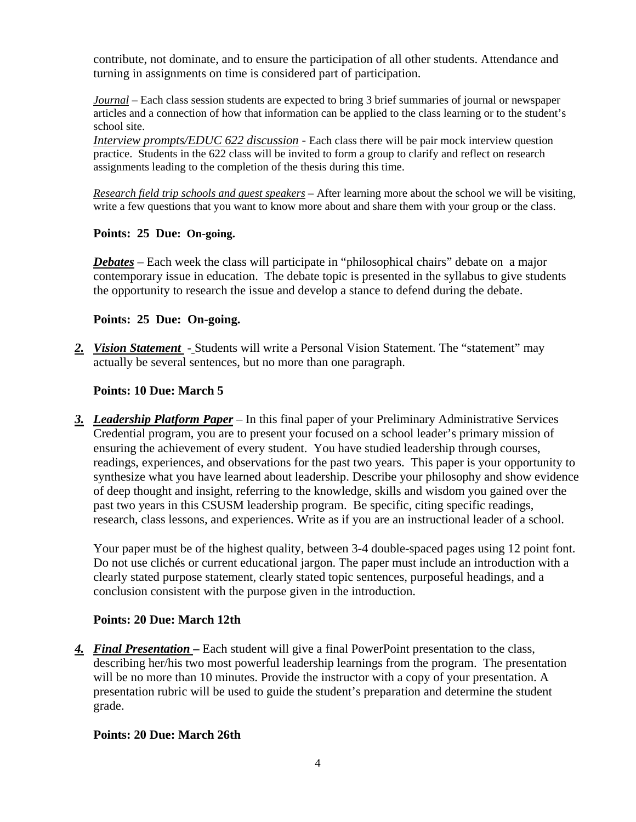contribute, not dominate, and to ensure the participation of all other students. Attendance and turning in assignments on time is considered part of participation.

*Journal* – Each class session students are expected to bring 3 brief summaries of journal or newspaper articles and a connection of how that information can be applied to the class learning or to the student's school site.

*Interview prompts/EDUC 622 discussion* - Each class there will be pair mock interview question practice. Students in the 622 class will be invited to form a group to clarify and reflect on research assignments leading to the completion of the thesis during this time.

*Research field trip schools and guest speakers* – After learning more about the school we will be visiting, write a few questions that you want to know more about and share them with your group or the class.

### **Points: 25 Due: On-going.**

*Debates* – Each week the class will participate in "philosophical chairs" debate on a major contemporary issue in education. The debate topic is presented in the syllabus to give students the opportunity to research the issue and develop a stance to defend during the debate.

## **Points: 25 Due: On-going.**

2. *Vision Statement* - Students will write a Personal Vision Statement. The "statement" may actually be several sentences, but no more than one paragraph.

## **Points: 10 Due: March 5**

*3. Leadership Platform Paper* – In this final paper of your Preliminary Administrative Services Credential program, you are to present your focused on a school leader's primary mission of ensuring the achievement of every student. You have studied leadership through courses, readings, experiences, and observations for the past two years. This paper is your opportunity to synthesize what you have learned about leadership. Describe your philosophy and show evidence of deep thought and insight, referring to the knowledge, skills and wisdom you gained over the past two years in this CSUSM leadership program. Be specific, citing specific readings, research, class lessons, and experiences. Write as if you are an instructional leader of a school.

Your paper must be of the highest quality, between 3-4 double-spaced pages using 12 point font. Do not use clichés or current educational jargon. The paper must include an introduction with a clearly stated purpose statement, clearly stated topic sentences, purposeful headings, and a conclusion consistent with the purpose given in the introduction.

## **Points: 20 Due: March 12th**

*4. Final Presentation* **–** Each student will give a final PowerPoint presentation to the class, describing her/his two most powerful leadership learnings from the program. The presentation will be no more than 10 minutes. Provide the instructor with a copy of your presentation. A presentation rubric will be used to guide the student's preparation and determine the student grade.

## **Points: 20 Due: March 26th**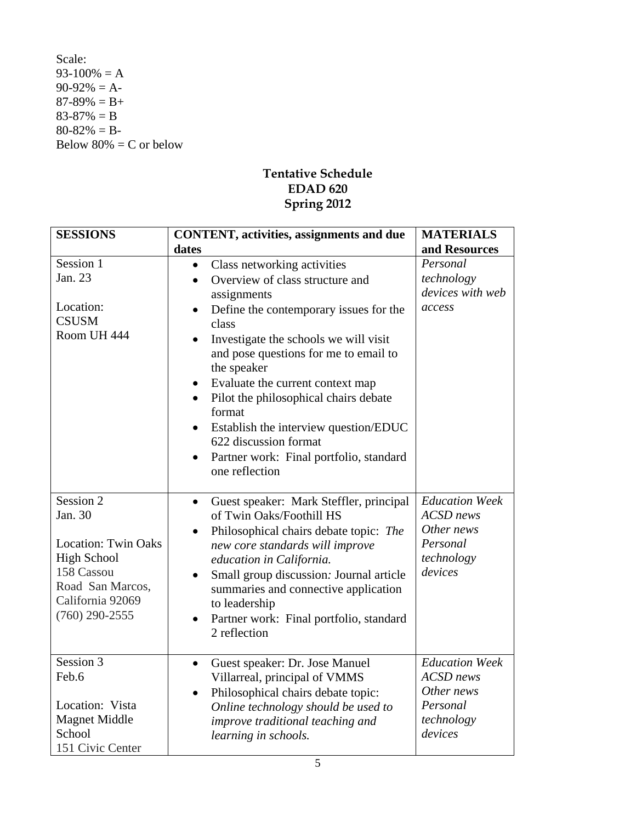Scale:  $93-100% = A$  $90-92\% = A$ - $87-89\% = B+$  $83-87\% = B$  $80-82\% = B-$ Below  $80\% = C$  or below

## **Tentative Schedule EDAD 620 Spring 2012**

| <b>SESSIONS</b>                                                                                                                                    | <b>CONTENT</b> , activities, assignments and due                                                                                                                                                                                                                                                                                                                                                                                                                                                                                                   | <b>MATERIALS</b>                                                                             |
|----------------------------------------------------------------------------------------------------------------------------------------------------|----------------------------------------------------------------------------------------------------------------------------------------------------------------------------------------------------------------------------------------------------------------------------------------------------------------------------------------------------------------------------------------------------------------------------------------------------------------------------------------------------------------------------------------------------|----------------------------------------------------------------------------------------------|
|                                                                                                                                                    | dates                                                                                                                                                                                                                                                                                                                                                                                                                                                                                                                                              | and Resources                                                                                |
| Session 1<br>Jan. 23<br>Location:<br><b>CSUSM</b><br>Room UH 444                                                                                   | Class networking activities<br>$\bullet$<br>Overview of class structure and<br>$\bullet$<br>assignments<br>Define the contemporary issues for the<br>$\bullet$<br>class<br>Investigate the schools we will visit<br>and pose questions for me to email to<br>the speaker<br>Evaluate the current context map<br>$\bullet$<br>Pilot the philosophical chairs debate<br>$\bullet$<br>format<br>Establish the interview question/EDUC<br>$\bullet$<br>622 discussion format<br>Partner work: Final portfolio, standard<br>$\bullet$<br>one reflection | Personal<br>technology<br>devices with web<br>access                                         |
| Session 2<br>Jan. 30<br><b>Location: Twin Oaks</b><br><b>High School</b><br>158 Cassou<br>Road San Marcos,<br>California 92069<br>$(760)$ 290-2555 | Guest speaker: Mark Steffler, principal<br>$\bullet$<br>of Twin Oaks/Foothill HS<br>Philosophical chairs debate topic: The<br>$\bullet$<br>new core standards will improve<br>education in California.<br>Small group discussion: Journal article<br>$\bullet$<br>summaries and connective application<br>to leadership<br>Partner work: Final portfolio, standard<br>$\bullet$<br>2 reflection                                                                                                                                                    | <b>Education Week</b><br><b>ACSD</b> news<br>Other news<br>Personal<br>technology<br>devices |
| Session 3<br>Feb.6<br>Location: Vista<br><b>Magnet Middle</b><br>School<br>151 Civic Center                                                        | Guest speaker: Dr. Jose Manuel<br>$\bullet$<br>Villarreal, principal of VMMS<br>Philosophical chairs debate topic:<br>$\bullet$<br>Online technology should be used to<br>improve traditional teaching and<br>learning in schools.                                                                                                                                                                                                                                                                                                                 | <b>Education Week</b><br><b>ACSD</b> news<br>Other news<br>Personal<br>technology<br>devices |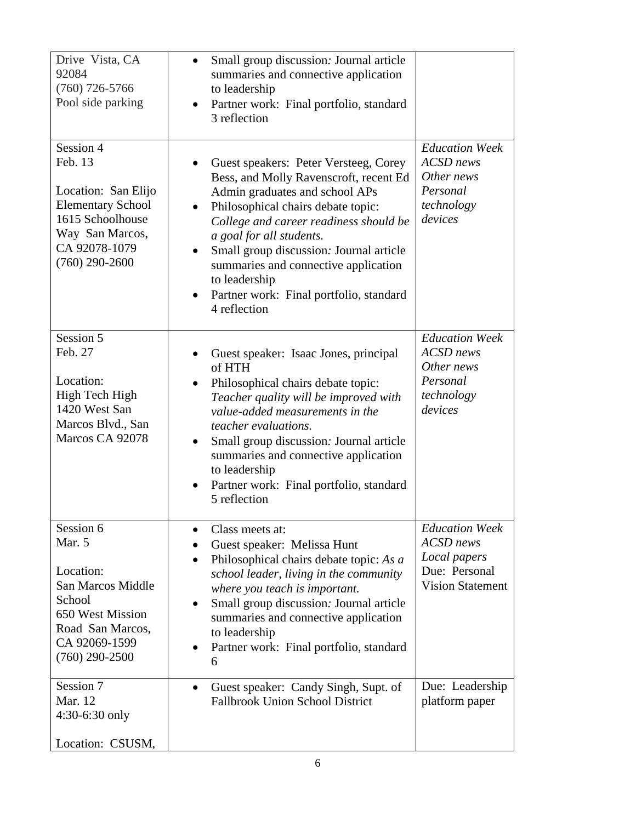| Drive Vista, CA<br>92084<br>$(760)$ 726-5766<br>Pool side parking                                                                                   | Small group discussion: Journal article<br>$\bullet$<br>summaries and connective application<br>to leadership<br>Partner work: Final portfolio, standard<br>$\bullet$<br>3 reflection                                                                                                                                                                                                                        |                                                                                                       |
|-----------------------------------------------------------------------------------------------------------------------------------------------------|--------------------------------------------------------------------------------------------------------------------------------------------------------------------------------------------------------------------------------------------------------------------------------------------------------------------------------------------------------------------------------------------------------------|-------------------------------------------------------------------------------------------------------|
| Session 4<br>Feb. 13<br>Location: San Elijo<br><b>Elementary School</b><br>1615 Schoolhouse<br>Way San Marcos,<br>CA 92078-1079<br>$(760)$ 290-2600 | Guest speakers: Peter Versteeg, Corey<br>Bess, and Molly Ravenscroft, recent Ed<br>Admin graduates and school APs<br>Philosophical chairs debate topic:<br>$\bullet$<br>College and career readiness should be<br>a goal for all students.<br>Small group discussion: Journal article<br>summaries and connective application<br>to leadership<br>Partner work: Final portfolio, standard<br>4 reflection    | <b>Education Week</b><br><b>ACSD</b> news<br>Other news<br>Personal<br>technology<br>devices          |
| Session 5<br>Feb. 27<br>Location:<br>High Tech High<br>1420 West San<br>Marcos Blvd., San<br>Marcos CA 92078                                        | Guest speaker: Isaac Jones, principal<br>$\bullet$<br>of HTH<br>Philosophical chairs debate topic:<br>$\bullet$<br>Teacher quality will be improved with<br>value-added measurements in the<br>teacher evaluations.<br>Small group discussion: Journal article<br>$\bullet$<br>summaries and connective application<br>to leadership<br>Partner work: Final portfolio, standard<br>$\bullet$<br>5 reflection | <b>Education Week</b><br><b>ACSD</b> news<br>Other news<br>Personal<br>technology<br>devices          |
| Session 6<br>Mar. 5<br>Location:<br>San Marcos Middle<br>School<br>650 West Mission<br>Road San Marcos,<br>CA 92069-1599<br>$(760)$ 290-2500        | Class meets at:<br>$\bullet$<br>Guest speaker: Melissa Hunt<br>Philosophical chairs debate topic: As a<br>$\bullet$<br>school leader, living in the community<br>where you teach is important.<br>Small group discussion: Journal article<br>$\bullet$<br>summaries and connective application<br>to leadership<br>Partner work: Final portfolio, standard<br>6                                              | <b>Education Week</b><br><b>ACSD</b> news<br>Local papers<br>Due: Personal<br><b>Vision Statement</b> |
| Session 7<br>Mar. 12<br>4:30-6:30 only<br>Location: CSUSM,                                                                                          | Guest speaker: Candy Singh, Supt. of<br>$\bullet$<br><b>Fallbrook Union School District</b>                                                                                                                                                                                                                                                                                                                  | Due: Leadership<br>platform paper                                                                     |